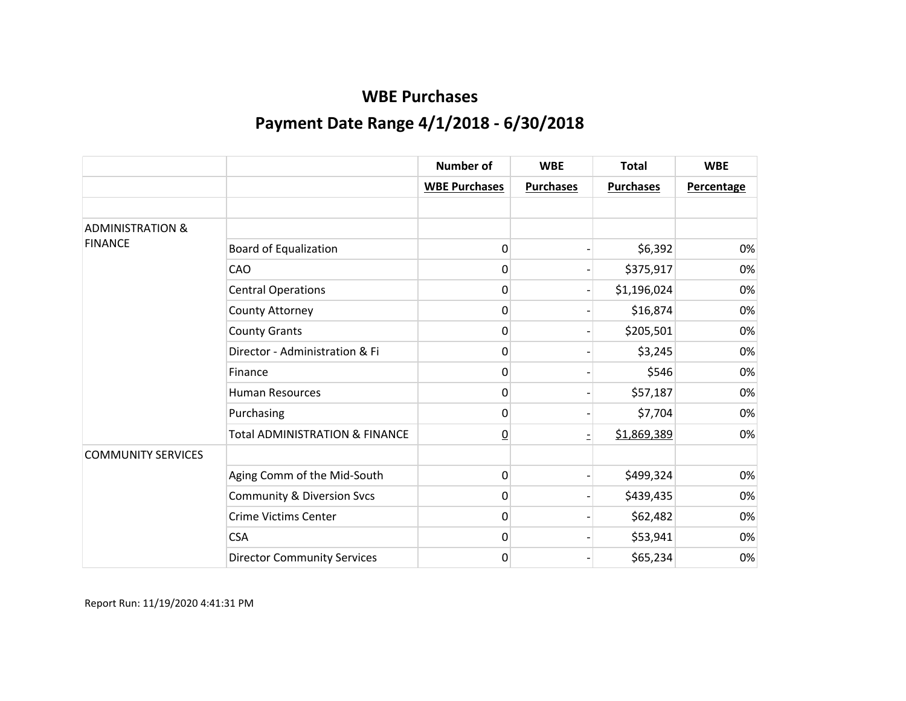|                             |                                           | <b>Number of</b>     | <b>WBE</b>       | <b>Total</b>     | <b>WBE</b>        |
|-----------------------------|-------------------------------------------|----------------------|------------------|------------------|-------------------|
|                             |                                           | <b>WBE Purchases</b> | <b>Purchases</b> | <b>Purchases</b> | <b>Percentage</b> |
|                             |                                           |                      |                  |                  |                   |
| <b>ADMINISTRATION &amp;</b> |                                           |                      |                  |                  |                   |
| <b>FINANCE</b>              | <b>Board of Equalization</b>              | 0                    |                  | \$6,392          | 0%                |
|                             | CAO                                       | 0                    |                  | \$375,917        | 0%                |
|                             | <b>Central Operations</b>                 | 0                    |                  | \$1,196,024      | 0%                |
|                             | County Attorney                           | 0                    |                  | \$16,874         | 0%                |
|                             | <b>County Grants</b>                      | 0                    |                  | \$205,501        | 0%                |
|                             | Director - Administration & Fi            | 0                    |                  | \$3,245          | 0%                |
|                             | Finance                                   | 0                    |                  | \$546            | 0%                |
|                             | <b>Human Resources</b>                    | 0                    |                  | \$57,187         | 0%                |
|                             | Purchasing                                | 0                    |                  | \$7,704          | 0%                |
|                             | <b>Total ADMINISTRATION &amp; FINANCE</b> | $\underline{0}$      |                  | \$1,869,389      | 0%                |
| <b>COMMUNITY SERVICES</b>   |                                           |                      |                  |                  |                   |
|                             | Aging Comm of the Mid-South               | 0                    |                  | \$499,324        | 0%                |
|                             | <b>Community &amp; Diversion Svcs</b>     | 0                    |                  | \$439,435        | 0%                |
|                             | <b>Crime Victims Center</b>               | 0                    |                  | \$62,482         | 0%                |
|                             | <b>CSA</b>                                | 0                    |                  | \$53,941         | 0%                |
|                             | <b>Director Community Services</b>        | 0                    |                  | \$65,234         | 0%                |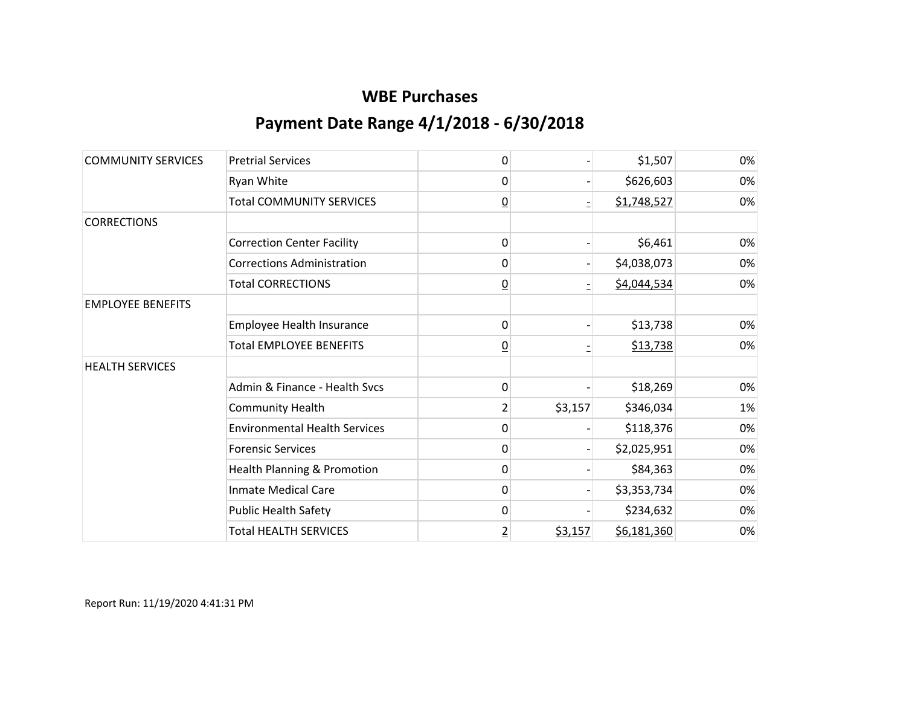| <b>COMMUNITY SERVICES</b> | <b>Pretrial Services</b>             | 0              |         | \$1,507     | 0% |
|---------------------------|--------------------------------------|----------------|---------|-------------|----|
|                           | Ryan White                           | 0              |         | \$626,603   | 0% |
|                           | <b>Total COMMUNITY SERVICES</b>      | $\overline{0}$ |         | \$1,748,527 | 0% |
| <b>CORRECTIONS</b>        |                                      |                |         |             |    |
|                           | <b>Correction Center Facility</b>    | 0              |         | \$6,461     | 0% |
|                           | <b>Corrections Administration</b>    | 0              |         | \$4,038,073 | 0% |
|                           | <b>Total CORRECTIONS</b>             | $\overline{0}$ |         | \$4,044,534 | 0% |
| <b>EMPLOYEE BENEFITS</b>  |                                      |                |         |             |    |
|                           | Employee Health Insurance            | 0              |         | \$13,738    | 0% |
|                           | <b>Total EMPLOYEE BENEFITS</b>       | <u>0</u>       |         | \$13,738    | 0% |
| <b>HEALTH SERVICES</b>    |                                      |                |         |             |    |
|                           | Admin & Finance - Health Sycs        | 0              |         | \$18,269    | 0% |
|                           | <b>Community Health</b>              | $\overline{2}$ | \$3,157 | \$346,034   | 1% |
|                           | <b>Environmental Health Services</b> | 0              |         | \$118,376   | 0% |
|                           | <b>Forensic Services</b>             | 0              |         | \$2,025,951 | 0% |
|                           | Health Planning & Promotion          | 0              |         | \$84,363    | 0% |
|                           | <b>Inmate Medical Care</b>           | 0              |         | \$3,353,734 | 0% |
|                           | <b>Public Health Safety</b>          | 0              |         | \$234,632   | 0% |
|                           | <b>Total HEALTH SERVICES</b>         | $\overline{2}$ | \$3,157 | \$6,181,360 | 0% |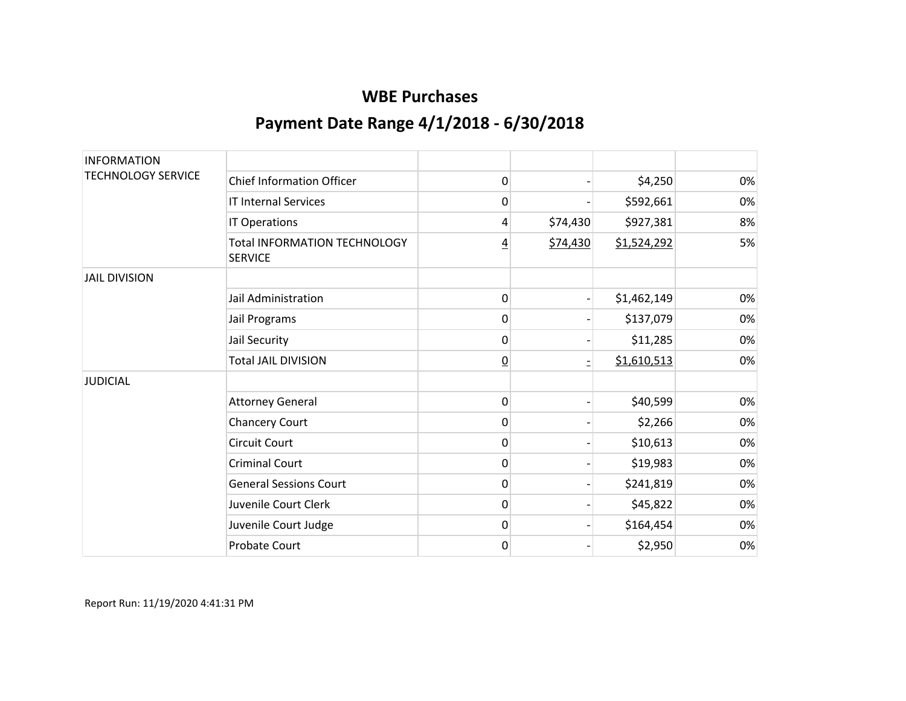| <b>INFORMATION</b>        |                                                       |                |          |             |    |
|---------------------------|-------------------------------------------------------|----------------|----------|-------------|----|
| <b>TECHNOLOGY SERVICE</b> | <b>Chief Information Officer</b>                      | 0              |          | \$4,250     | 0% |
|                           | <b>IT Internal Services</b>                           | 0              |          | \$592,661   | 0% |
|                           | IT Operations                                         | 4              | \$74,430 | \$927,381   | 8% |
|                           | <b>Total INFORMATION TECHNOLOGY</b><br><b>SERVICE</b> | $\overline{4}$ | \$74,430 | \$1,524,292 | 5% |
| <b>JAIL DIVISION</b>      |                                                       |                |          |             |    |
|                           | Jail Administration                                   | 0              |          | \$1,462,149 | 0% |
|                           | Jail Programs                                         | 0              |          | \$137,079   | 0% |
|                           | Jail Security                                         | 0              |          | \$11,285    | 0% |
|                           | <b>Total JAIL DIVISION</b>                            | $\overline{0}$ |          | \$1,610,513 | 0% |
| <b>JUDICIAL</b>           |                                                       |                |          |             |    |
|                           | <b>Attorney General</b>                               | 0              |          | \$40,599    | 0% |
|                           | <b>Chancery Court</b>                                 | 0              |          | \$2,266     | 0% |
|                           | <b>Circuit Court</b>                                  | 0              |          | \$10,613    | 0% |
|                           | <b>Criminal Court</b>                                 | 0              |          | \$19,983    | 0% |
|                           | <b>General Sessions Court</b>                         | 0              |          | \$241,819   | 0% |
|                           | Juvenile Court Clerk                                  | 0              |          | \$45,822    | 0% |
|                           | Juvenile Court Judge                                  | 0              |          | \$164,454   | 0% |
|                           | Probate Court                                         | 0              |          | \$2,950     | 0% |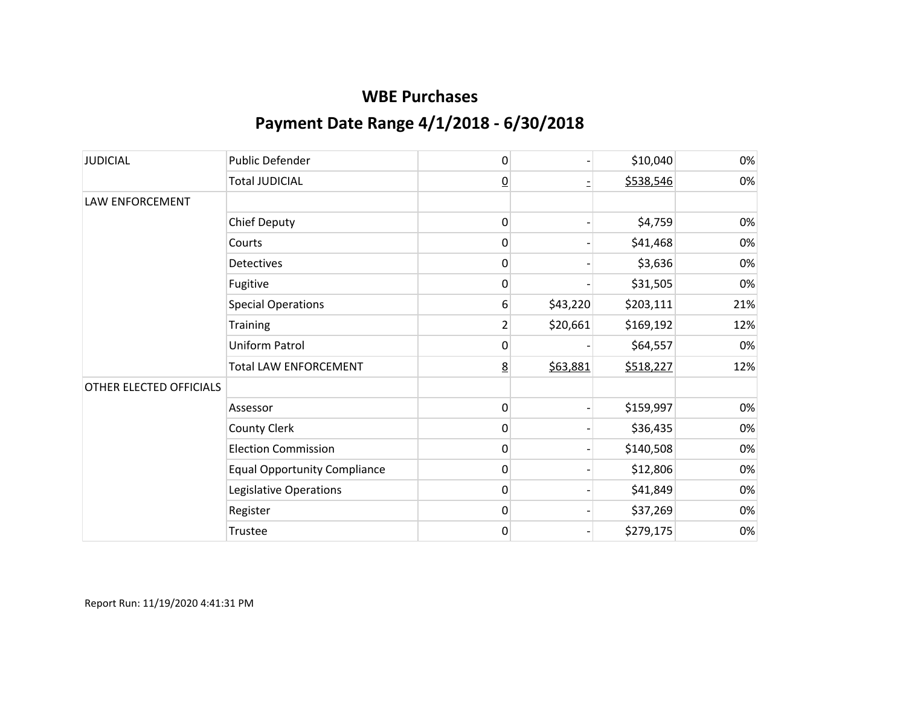| <b>JUDICIAL</b>         | <b>Public Defender</b>              | 0               |          | \$10,040  | 0%  |
|-------------------------|-------------------------------------|-----------------|----------|-----------|-----|
|                         | <b>Total JUDICIAL</b>               | $\overline{0}$  |          | \$538,546 | 0%  |
| <b>LAW ENFORCEMENT</b>  |                                     |                 |          |           |     |
|                         | <b>Chief Deputy</b>                 | $\mathbf 0$     |          | \$4,759   | 0%  |
|                         | Courts                              | 0               |          | \$41,468  | 0%  |
|                         | <b>Detectives</b>                   | 0               |          | \$3,636   | 0%  |
|                         | Fugitive                            | 0               |          | \$31,505  | 0%  |
|                         | <b>Special Operations</b>           | 6               | \$43,220 | \$203,111 | 21% |
|                         | <b>Training</b>                     | 2               | \$20,661 | \$169,192 | 12% |
|                         | Uniform Patrol                      | 0               |          | \$64,557  | 0%  |
|                         | <b>Total LAW ENFORCEMENT</b>        | $\underline{8}$ | \$63,881 | \$518,227 | 12% |
| OTHER ELECTED OFFICIALS |                                     |                 |          |           |     |
|                         | Assessor                            | 0               |          | \$159,997 | 0%  |
|                         | <b>County Clerk</b>                 | 0               |          | \$36,435  | 0%  |
|                         | <b>Election Commission</b>          | 0               |          | \$140,508 | 0%  |
|                         | <b>Equal Opportunity Compliance</b> | 0               |          | \$12,806  | 0%  |
|                         | Legislative Operations              | 0               |          | \$41,849  | 0%  |
|                         | Register                            | $\mathbf{0}$    |          | \$37,269  | 0%  |
|                         | Trustee                             | 0               |          | \$279,175 | 0%  |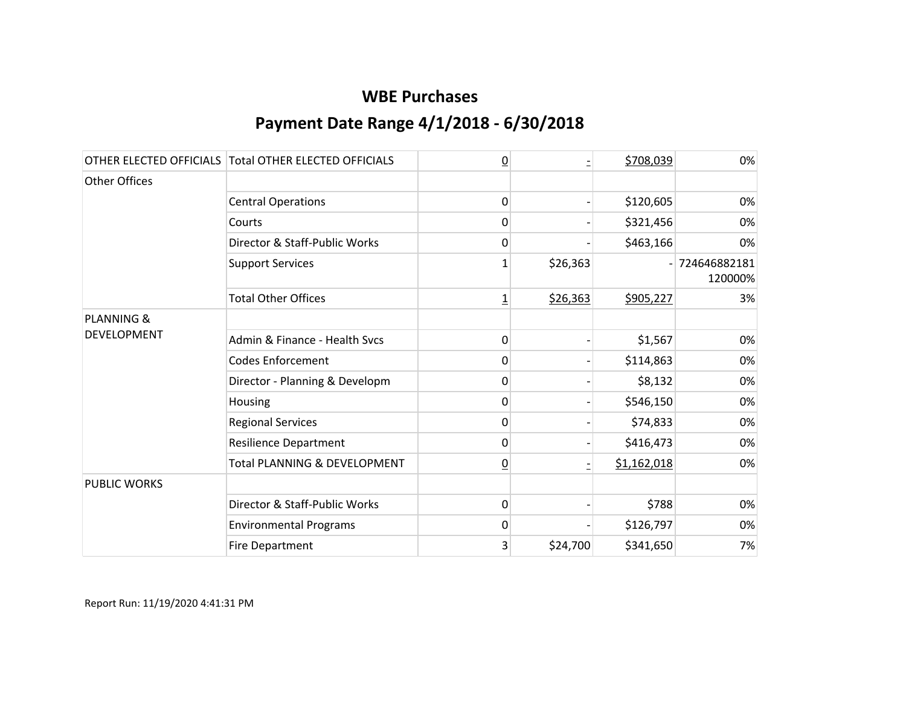|                       | OTHER ELECTED OFFICIALS Total OTHER ELECTED OFFICIALS | $\overline{0}$ |          | \$708,039   | 0%                      |
|-----------------------|-------------------------------------------------------|----------------|----------|-------------|-------------------------|
| Other Offices         |                                                       |                |          |             |                         |
|                       | <b>Central Operations</b>                             | $\mathbf{0}$   |          | \$120,605   | 0%                      |
|                       | Courts                                                | 0              |          | \$321,456   | 0%                      |
|                       | Director & Staff-Public Works                         | 0              |          | \$463,166   | 0%                      |
|                       | <b>Support Services</b>                               | 1              | \$26,363 |             | 724646882181<br>120000% |
|                       | <b>Total Other Offices</b>                            | $\overline{1}$ | \$26,363 | \$905,227   | 3%                      |
| <b>PLANNING &amp;</b> |                                                       |                |          |             |                         |
| <b>DEVELOPMENT</b>    | Admin & Finance - Health Svcs                         | 0              |          | \$1,567     | 0%                      |
|                       | <b>Codes Enforcement</b>                              | 0              |          | \$114,863   | 0%                      |
|                       | Director - Planning & Developm                        | 0              |          | \$8,132     | 0%                      |
|                       | Housing                                               | 0              |          | \$546,150   | 0%                      |
|                       | <b>Regional Services</b>                              | 0              |          | \$74,833    | 0%                      |
|                       | <b>Resilience Department</b>                          | 0              |          | \$416,473   | 0%                      |
|                       | Total PLANNING & DEVELOPMENT                          | $\overline{0}$ |          | \$1,162,018 | 0%                      |
| <b>PUBLIC WORKS</b>   |                                                       |                |          |             |                         |
|                       | Director & Staff-Public Works                         | 0              |          | \$788       | 0%                      |
|                       | <b>Environmental Programs</b>                         | 0              |          | \$126,797   | 0%                      |
|                       | <b>Fire Department</b>                                | 3              | \$24,700 | \$341,650   | 7%                      |